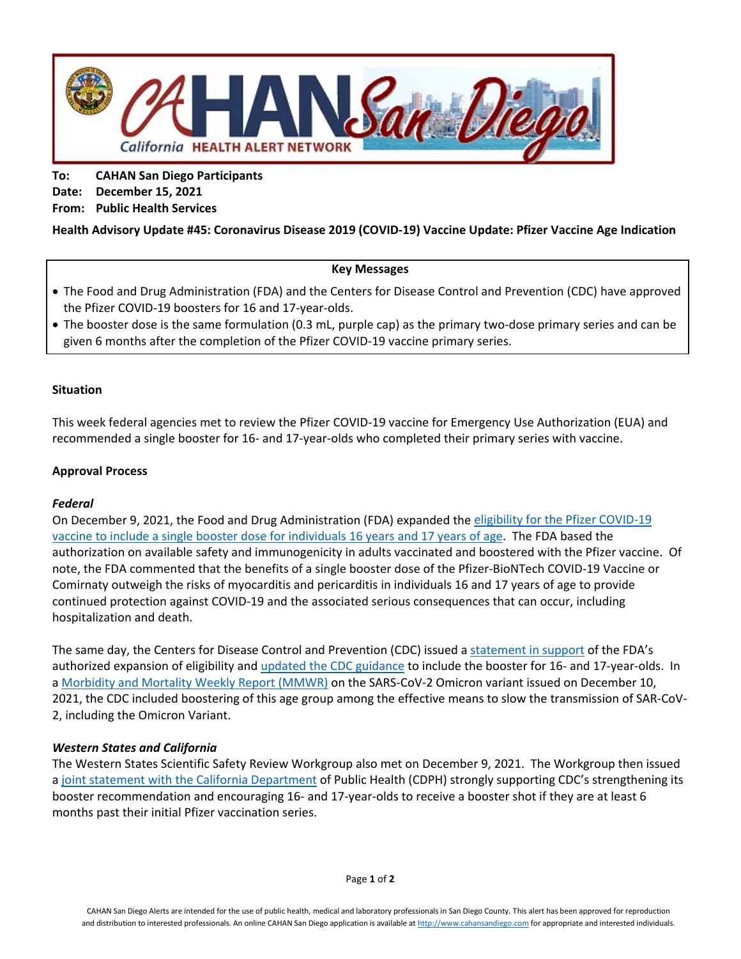

**To: CAHAN San Diego Participants Date: December 15, 2021 From: Public Health Services**

# **Health Advisory Update #45: Coronavirus Disease 2019 (COVID-19) Vaccine Update: Pfizer Vaccine Age Indication**

### **Key Messages**

- The Food and Drug Administration (FDA) and the Centers for Disease Control and Prevention (CDC) have approved the Pfizer COVID-19 boosters for 16 and 17-year-olds.
- The booster dose is the same formulation (0.3 mL, purple cap) as the primary two-dose primary series and can be given 6 months after the completion of the Pfizer COVID-19 vaccine primary series.

### **Situation**

This week federal agencies met to review the Pfizer COVID-19 vaccine for Emergency Use Authorization (EUA) and recommended a single booster for 16- and 17-year-olds who completed their primary series with vaccine.

### **Approval Process**

# *Federal*

On December 9, 2021, the Food and Drug Administration (FDA) expanded the eligibility [for the Pfizer COVID-19](https://www.fda.gov/media/153713/download)  [vaccine to include a single booster dose for individuals 16](https://www.fda.gov/media/153713/download) years and 17 years of age. The FDA based the authorization on available safety and immunogenicity in adults vaccinated and boostered with the Pfizer vaccine. Of note, the FDA commented that the benefits of a single booster dose of the Pfizer-BioNTech COVID-19 Vaccine or Comirnaty outweigh the risks of myocarditis and pericarditis in individuals 16 and 17 years of age to provide continued protection against COVID-19 and the associated serious consequences that can occur, including hospitalization and death.

The same day, the Centers for Disease Control and Prevention (CDC) issued a [statement in support](https://www.cdc.gov/media/releases/2021/s1208-16-17-booster.html) of the FDA's authorized expansion of eligibility and updated the CDC [guidance](https://www.cdc.gov/coronavirus/2019-ncov/vaccines/booster-shot.html) to include the booster for 16- and 17-year-olds. In a [Morbidity and Mortality Weekly Report \(MMWR\)](https://www.cdc.gov/mmwr/volumes/70/wr/mm7050e1.htm?s_cid=mm7050e1_w) on the SARS-CoV-2 Omicron variant issued on December 10, 2021, the CDC included boostering of this age group among the effective means to slow the transmission of SAR-CoV-2, including the Omicron Variant.

# *Western States and California*

The Western States Scientific Safety Review Workgroup also met on December 9, 2021. The Workgroup then issued a [joint statement with the California Department](https://www.cdph.ca.gov/Programs/OPA/Pages/NR21-350.aspx) of Public Health (CDPH) strongly supporting CDC's strengthening its booster recommendation and encouraging 16- and 17-year-olds to receive a booster shot if they are at least 6 months past their initial Pfizer vaccination series.